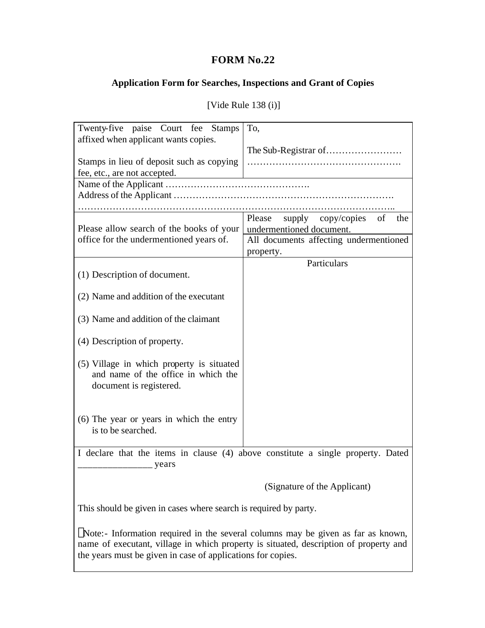## **FORM No.22**

## **Application Form for Searches, Inspections and Grant of Copies**

| Twenty-five paise Court fee Stamps                                                                          | To,                                                                   |  |  |  |  |  |  |
|-------------------------------------------------------------------------------------------------------------|-----------------------------------------------------------------------|--|--|--|--|--|--|
| affixed when applicant wants copies.<br>Stamps in lieu of deposit such as copying                           |                                                                       |  |  |  |  |  |  |
| fee, etc., are not accepted.                                                                                |                                                                       |  |  |  |  |  |  |
|                                                                                                             |                                                                       |  |  |  |  |  |  |
|                                                                                                             |                                                                       |  |  |  |  |  |  |
|                                                                                                             |                                                                       |  |  |  |  |  |  |
| Please allow search of the books of your                                                                    | supply copy/copies<br>Please<br>of<br>the<br>undermentioned document. |  |  |  |  |  |  |
| office for the undermentioned years of.                                                                     | All documents affecting undermentioned                                |  |  |  |  |  |  |
|                                                                                                             | property.                                                             |  |  |  |  |  |  |
|                                                                                                             | Particulars                                                           |  |  |  |  |  |  |
| (1) Description of document.                                                                                |                                                                       |  |  |  |  |  |  |
|                                                                                                             |                                                                       |  |  |  |  |  |  |
|                                                                                                             |                                                                       |  |  |  |  |  |  |
| (2) Name and addition of the executant                                                                      |                                                                       |  |  |  |  |  |  |
| (3) Name and addition of the claimant                                                                       |                                                                       |  |  |  |  |  |  |
| (4) Description of property.                                                                                |                                                                       |  |  |  |  |  |  |
| (5) Village in which property is situated<br>and name of the office in which the<br>document is registered. |                                                                       |  |  |  |  |  |  |
| (6) The year or years in which the entry<br>is to be searched.                                              |                                                                       |  |  |  |  |  |  |
| I declare that the items in clause (4) above constitute a single property. Dated<br>years                   |                                                                       |  |  |  |  |  |  |
|                                                                                                             | (Signature of the Applicant)                                          |  |  |  |  |  |  |
| This should be given in cases where search is required by party.                                            |                                                                       |  |  |  |  |  |  |

[Vide Rule 138 (i)]

**ø**Note:- Information required in the several columns may be given as far as known, name of executant, village in which property is situated, description of property and the years must be given in case of applications for copies.